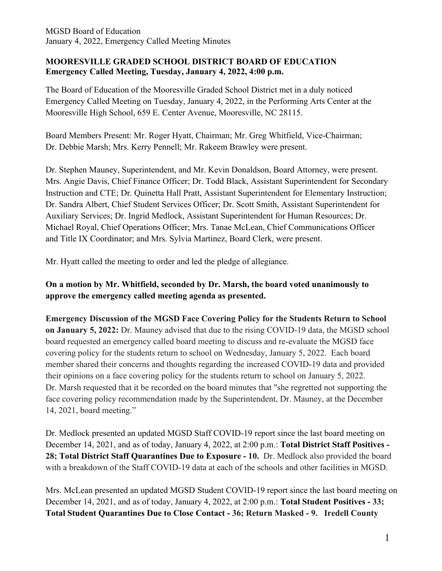## **MOORESVILLE GRADED SCHOOL DISTRICT BOARD OF EDUCATION Emergency Called Meeting, Tuesday, January 4, 2022, 4:00 p.m.**

The Board of Education of the Mooresville Graded School District met in a duly noticed Emergency Called Meeting on Tuesday, January 4, 2022, in the Performing Arts Center at the Mooresville High School, 659 E. Center Avenue, Mooresville, NC 28115.

Board Members Present: Mr. Roger Hyatt, Chairman; Mr. Greg Whitfield, Vice-Chairman; Dr. Debbie Marsh; Mrs. Kerry Pennell; Mr. Rakeem Brawley were present.

Dr. Stephen Mauney, Superintendent, and Mr. Kevin Donaldson, Board Attorney, were present. Mrs. Angie Davis, Chief Finance Officer; Dr. Todd Black, Assistant Superintendent for Secondary Instruction and CTE; Dr. Quinetta Hall Pratt, Assistant Superintendent for Elementary Instruction; Dr. Sandra Albert, Chief Student Services Officer; Dr. Scott Smith, Assistant Superintendent for Auxiliary Services; Dr. Ingrid Medlock, Assistant Superintendent for Human Resources; Dr. Michael Royal, Chief Operations Officer; Mrs. Tanae McLean, Chief Communications Officer and Title IX Coordinator; and Mrs. Sylvia Martinez, Board Clerk, were present.

Mr. Hyatt called the meeting to order and led the pledge of allegiance.

**On a motion by Mr. Whitfield, seconded by Dr. Marsh, the board voted unanimously to approve the emergency called meeting agenda as presented.**

**Emergency Discussion of the MGSD Face Covering Policy for the Students Return to School on January 5, 2022:** Dr. Mauney advised that due to the rising COVID-19 data, the MGSD school board requested an emergency called board meeting to discuss and re-evaluate the MGSD face covering policy for the students return to school on Wednesday, January 5, 2022. Each board member shared their concerns and thoughts regarding the increased COVID-19 data and provided their opinions on a face covering policy for the students return to school on January 5, 2022. Dr. Marsh requested that it be recorded on the board minutes that "she regretted not supporting the face covering policy recommendation made by the Superintendent, Dr. Mauney, at the December 14, 2021, board meeting."

Dr. Medlock presented an updated MGSD Staff COVID-19 report since the last board meeting on December 14, 2021, and as of today, January 4, 2022, at 2:00 p.m.: **Total District Staff Positives - 28; Total District Staff Quarantines Due to Exposure - 10.** Dr. Medlock also provided the board with a breakdown of the Staff COVID-19 data at each of the schools and other facilities in MGSD.

Mrs. McLean presented an updated MGSD Student COVID-19 report since the last board meeting on December 14, 2021, and as of today, January 4, 2022, at 2:00 p.m.: **Total Student Positives - 33; Total Student Quarantines Due to Close Contact - 36; Return Masked - 9. Iredell County**